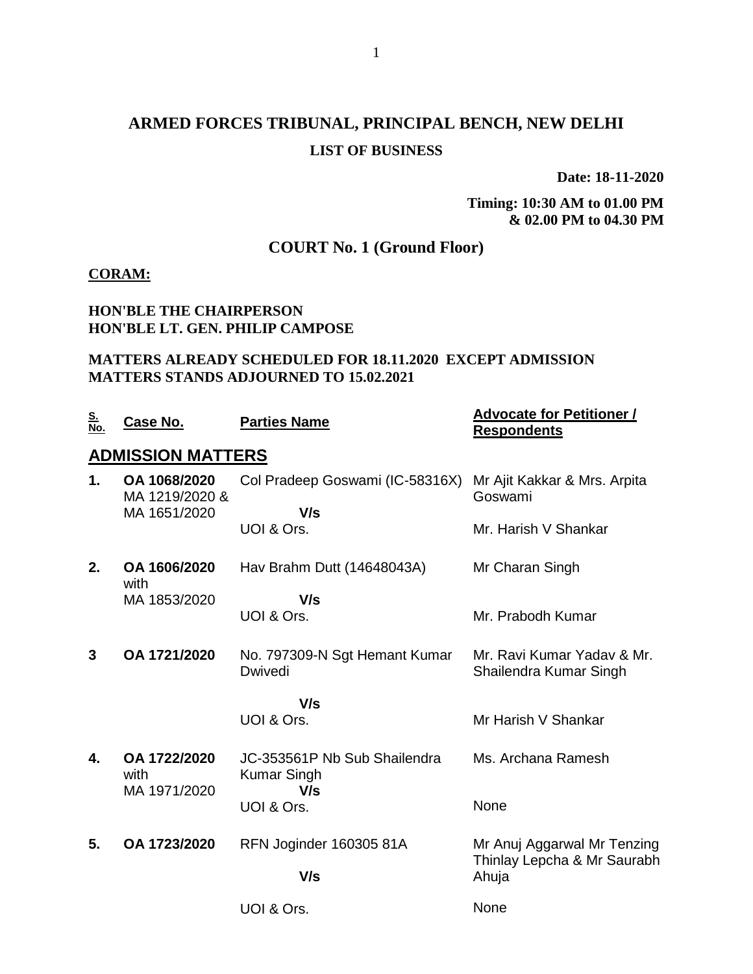## **ARMED FORCES TRIBUNAL, PRINCIPAL BENCH, NEW DELHI LIST OF BUSINESS**

**Date: 18-11-2020**

**Timing: 10:30 AM to 01.00 PM & 02.00 PM to 04.30 PM**

### **COURT No. 1 (Ground Floor)**

#### **CORAM:**

### **HON'BLE THE CHAIRPERSON HON'BLE LT. GEN. PHILIP CAMPOSE**

### **MATTERS ALREADY SCHEDULED FOR 18.11.2020 EXCEPT ADMISSION MATTERS STANDS ADJOURNED TO 15.02.2021**

| <u>S.</u><br>No. | Case No.                       | <b>Parties Name</b>                                | <b>Advocate for Petitioner /</b><br><b>Respondents</b>     |
|------------------|--------------------------------|----------------------------------------------------|------------------------------------------------------------|
|                  | <b>ADMISSION MATTERS</b>       |                                                    |                                                            |
| 1.               | OA 1068/2020<br>MA 1219/2020 & | Col Pradeep Goswami (IC-58316X)                    | Mr Ajit Kakkar & Mrs. Arpita<br>Goswami                    |
|                  | MA 1651/2020                   | V/s<br>UOI & Ors.                                  | Mr. Harish V Shankar                                       |
| 2.               | OA 1606/2020<br>with           | Hav Brahm Dutt (14648043A)                         | Mr Charan Singh                                            |
|                  | MA 1853/2020                   | V/s<br>UOI & Ors.                                  | Mr. Prabodh Kumar                                          |
| 3                | OA 1721/2020                   | No. 797309-N Sgt Hemant Kumar<br>Dwivedi           | Mr. Ravi Kumar Yaday & Mr.<br>Shailendra Kumar Singh       |
|                  |                                | V/s<br>UOI & Ors.                                  | Mr Harish V Shankar                                        |
| 4.               | OA 1722/2020<br>with           | JC-353561P Nb Sub Shailendra<br><b>Kumar Singh</b> | Ms. Archana Ramesh                                         |
|                  | MA 1971/2020                   | V/s<br>UOI & Ors.                                  | None                                                       |
| 5.               | OA 1723/2020                   | RFN Joginder 160305 81A                            | Mr Anuj Aggarwal Mr Tenzing<br>Thinlay Lepcha & Mr Saurabh |
|                  |                                | V/s                                                | Ahuja                                                      |
|                  |                                | UOI & Ors.                                         | None                                                       |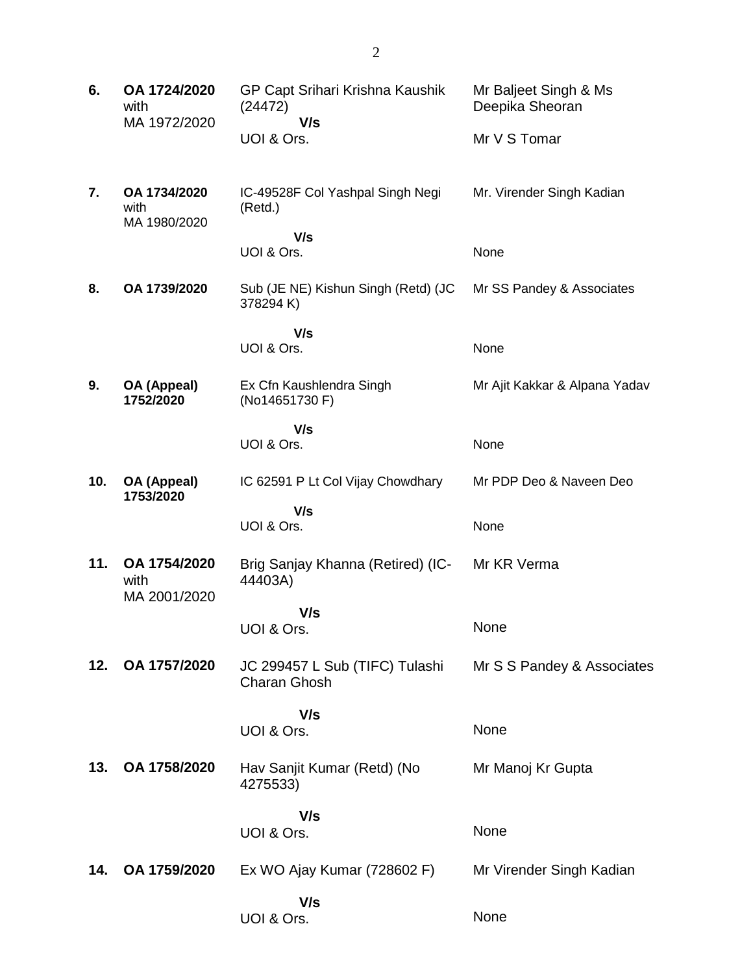| 6.  | OA 1724/2020<br>with                 | GP Capt Srihari Krishna Kaushik<br>(24472)            | Mr Baljeet Singh & Ms<br>Deepika Sheoran |
|-----|--------------------------------------|-------------------------------------------------------|------------------------------------------|
|     | MA 1972/2020                         | V/s<br>UOI & Ors.                                     | Mr V S Tomar                             |
| 7.  | OA 1734/2020<br>with<br>MA 1980/2020 | IC-49528F Col Yashpal Singh Negi<br>(Retd.)           | Mr. Virender Singh Kadian                |
|     |                                      | V/s<br>UOI & Ors.                                     | None                                     |
| 8.  | OA 1739/2020                         | Sub (JE NE) Kishun Singh (Retd) (JC<br>378294K)       | Mr SS Pandey & Associates                |
|     |                                      | V/s<br>UOI & Ors.                                     | None                                     |
|     |                                      |                                                       |                                          |
| 9.  | OA (Appeal)<br>1752/2020             | Ex Cfn Kaushlendra Singh<br>(No14651730 F)            | Mr Ajit Kakkar & Alpana Yadav            |
|     |                                      | V/s<br>UOI & Ors.                                     | None                                     |
|     |                                      |                                                       |                                          |
| 10. | OA (Appeal)<br>1753/2020             | IC 62591 P Lt Col Vijay Chowdhary                     | Mr PDP Deo & Naveen Deo                  |
|     |                                      | V/s<br>UOI & Ors.                                     | None                                     |
| 11. | OA 1754/2020<br>with<br>MA 2001/2020 | Brig Sanjay Khanna (Retired) (IC-<br>44403A)          | Mr KR Verma                              |
|     |                                      | V/s<br>UOI & Ors.                                     | None                                     |
| 12. | OA 1757/2020                         | JC 299457 L Sub (TIFC) Tulashi<br><b>Charan Ghosh</b> | Mr S S Pandey & Associates               |
|     |                                      | V/s                                                   |                                          |
|     |                                      | UOI & Ors.                                            | None                                     |
| 13. | OA 1758/2020                         | Hav Sanjit Kumar (Retd) (No<br>4275533)               | Mr Manoj Kr Gupta                        |
|     |                                      | V/s<br>UOI & Ors.                                     | None                                     |
| 14. | OA 1759/2020                         | Ex WO Ajay Kumar (728602 F)                           | Mr Virender Singh Kadian                 |
|     |                                      | V/s<br>UOI & Ors.                                     | None                                     |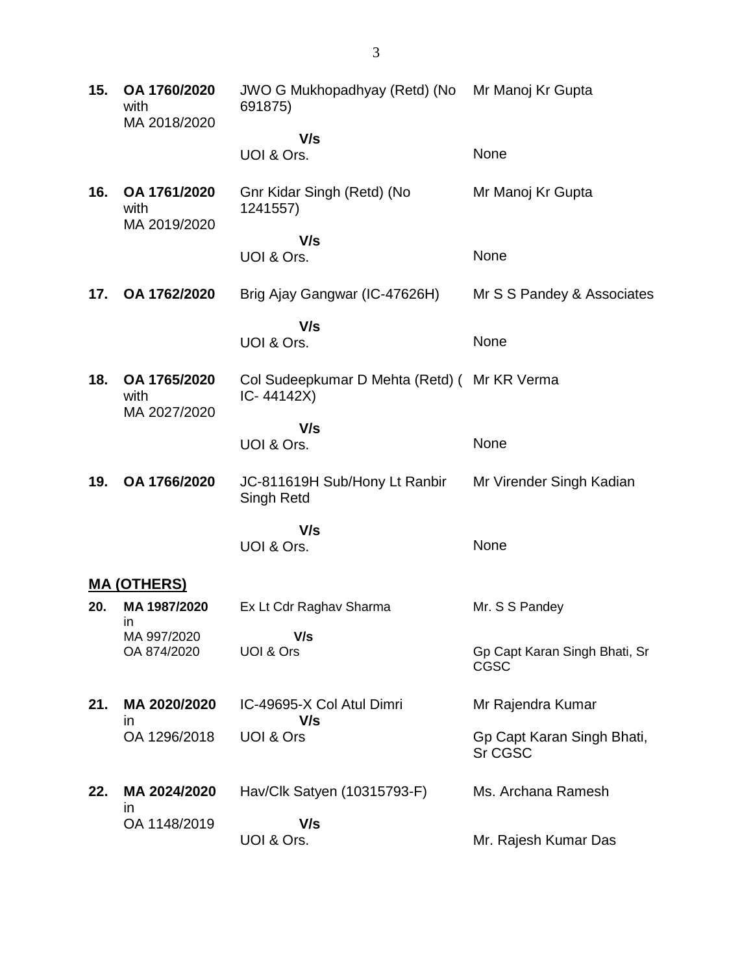**15. OA 1760/2020** with MA 2018/2020 JWO G Mukhopadhyay (Retd) (No 691875)  **V/s** UOI & Ors. Mr Manoj Kr Gupta None **16. OA 1761/2020** with MA 2019/2020 Gnr Kidar Singh (Retd) (No 1241557)  **V/s** UOI & Ors. Mr Manoj Kr Gupta None **17. OA 1762/2020** Brig Ajay Gangwar (IC-47626H)  **V/s** UOI & Ors. Mr S S Pandey & Associates **None 18. OA 1765/2020** with MA 2027/2020 Col Sudeepkumar D Mehta (Retd) ( Mr KR Verma IC- 44142X)  **V/s** UOI & Ors. None **19. OA 1766/2020** JC-811619H Sub/Hony Lt Ranbir Singh Retd  **V/s** UOI & Ors. Mr Virender Singh Kadian None **MA (OTHERS) 20. MA 1987/2020** in MA 997/2020 OA 874/2020 Ex Lt Cdr Raghav Sharma  **V/s** UOI & Ors Mr. S S Pandey Gp Capt Karan Singh Bhati, Sr CGSC **21. MA 2020/2020** in OA 1296/2018 IC-49695-X Col Atul Dimri  **V/s** UOI & Ors Mr Rajendra Kumar Gp Capt Karan Singh Bhati, Sr CGSC **22. MA 2024/2020** in OA 1148/2019 Hav/Clk Satyen (10315793-F)  **V/s** UOI & Ors. Ms. Archana Ramesh Mr. Rajesh Kumar Das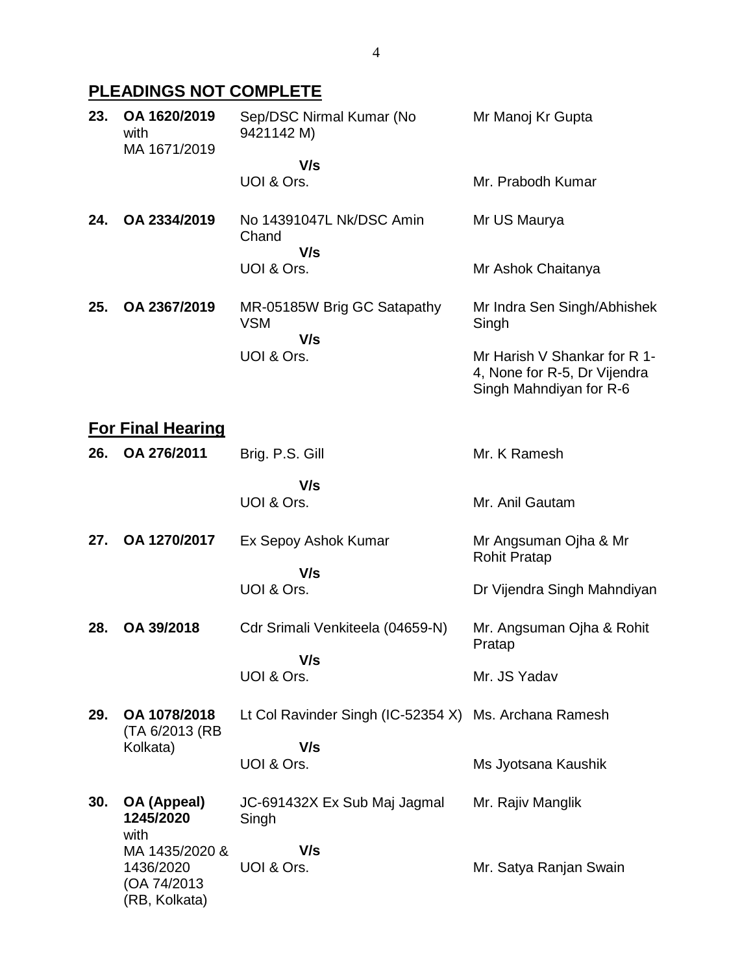# **PLEADINGS NOT COMPLETE**

| 23. | OA 1620/2019<br>with<br>MA 1671/2019 | Sep/DSC Nirmal Kumar (No<br>9421142 M)           | Mr Manoj Kr Gupta                                                                       |
|-----|--------------------------------------|--------------------------------------------------|-----------------------------------------------------------------------------------------|
|     |                                      | V/s                                              |                                                                                         |
|     |                                      | UOI & Ors.                                       | Mr. Prabodh Kumar                                                                       |
| 24. | OA 2334/2019                         | No 14391047L Nk/DSC Amin<br>Chand<br>V/s         | Mr US Maurya                                                                            |
|     |                                      | UOI & Ors.                                       | Mr Ashok Chaitanya                                                                      |
| 25. | OA 2367/2019                         | MR-05185W Brig GC Satapathy<br><b>VSM</b><br>V/s | Mr Indra Sen Singh/Abhishek<br>Singh                                                    |
|     |                                      | UOI & Ors.                                       | Mr Harish V Shankar for R 1-<br>4, None for R-5, Dr Vijendra<br>Singh Mahndiyan for R-6 |

# **For Final Hearing**

| 26. | OA 276/2011                                                  | Brig. P.S. Gill                                       | Mr. K Ramesh                                 |
|-----|--------------------------------------------------------------|-------------------------------------------------------|----------------------------------------------|
|     |                                                              | V/s<br>UOI & Ors.                                     | Mr. Anil Gautam                              |
| 27. | OA 1270/2017                                                 | Ex Sepoy Ashok Kumar<br>V/s                           | Mr Angsuman Ojha & Mr<br><b>Rohit Pratap</b> |
|     |                                                              | UOI & Ors.                                            | Dr Vijendra Singh Mahndiyan                  |
| 28. | OA 39/2018                                                   | Cdr Srimali Venkiteela (04659-N)<br>V/s               | Mr. Angsuman Ojha & Rohit<br>Pratap          |
|     |                                                              | UOI & Ors.                                            | Mr. JS Yadav                                 |
| 29. | OA 1078/2018<br>(TA 6/2013 (RB                               | Lt Col Ravinder Singh (IC-52354 X) Ms. Archana Ramesh |                                              |
|     | Kolkata)                                                     | V/s<br>UOI & Ors.                                     | Ms Jyotsana Kaushik                          |
| 30. | OA (Appeal)<br>1245/2020<br>with                             | JC-691432X Ex Sub Maj Jagmal<br>Singh                 | Mr. Rajiv Manglik                            |
|     | MA 1435/2020 &<br>1436/2020<br>(OA 74/2013)<br>(RB, Kolkata) | V/s<br>UOI & Ors.                                     | Mr. Satya Ranjan Swain                       |